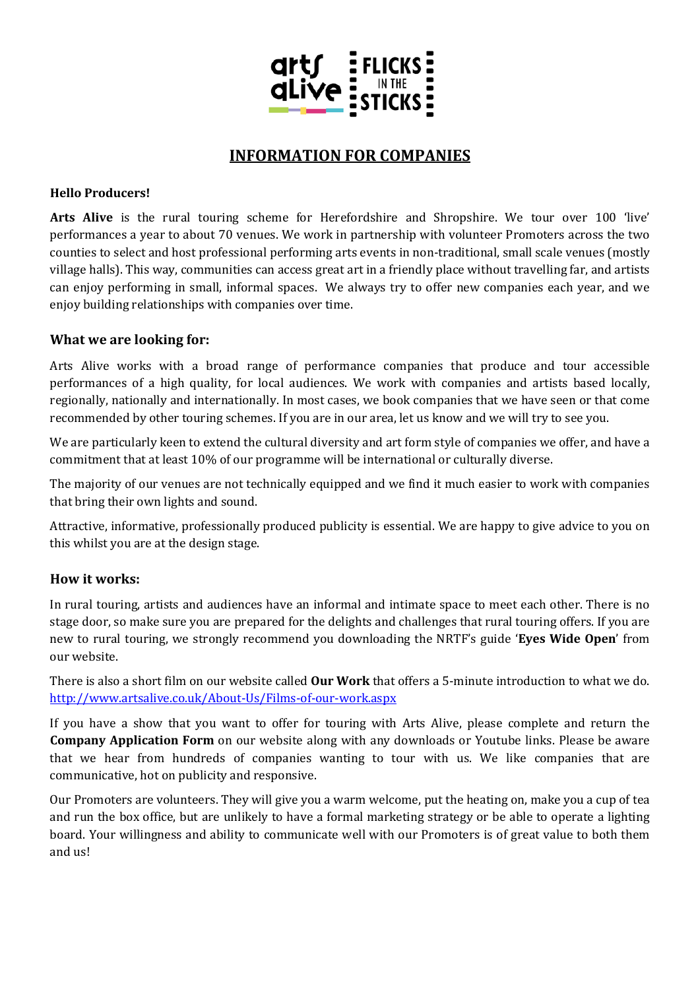

# **INFORMATION FOR COMPANIES**

#### **Hello Producers!**

**Arts Alive** is the rural touring scheme for Herefordshire and Shropshire. We tour over 100 'live' performances a year to about 70 venues. We work in partnership with volunteer Promoters across the two counties to select and host professional performing arts events in non-traditional, small scale venues (mostly village halls). This way, communities can access great art in a friendly place without travelling far, and artists can enjoy performing in small, informal spaces. We always try to offer new companies each year, and we enjoy building relationships with companies over time.

# **What we are looking for:**

Arts Alive works with a broad range of performance companies that produce and tour accessible performances of a high quality, for local audiences. We work with companies and artists based locally, regionally, nationally and internationally. In most cases, we book companies that we have seen or that come recommended by other touring schemes. If you are in our area, let us know and we will try to see you.

We are particularly keen to extend the cultural diversity and art form style of companies we offer, and have a commitment that at least 10% of our programme will be international or culturally diverse.

The majority of our venues are not technically equipped and we find it much easier to work with companies that bring their own lights and sound.

Attractive, informative, professionally produced publicity is essential. We are happy to give advice to you on this whilst you are at the design stage.

# **How it works:**

In rural touring, artists and audiences have an informal and intimate space to meet each other. There is no stage door, so make sure you are prepared for the delights and challenges that rural touring offers. If you are new to rural touring, we strongly recommend you downloading the NRTF's guide '**Eyes Wide Open**' from our website.

There is also a short film on our website called **Our Work** that offers a 5-minute introduction to what we do. <http://www.artsalive.co.uk/About-Us/Films-of-our-work.aspx>

If you have a show that you want to offer for touring with Arts Alive, please complete and return the **Company Application Form** on our website along with any downloads or Youtube links. Please be aware that we hear from hundreds of companies wanting to tour with us. We like companies that are communicative, hot on publicity and responsive.

Our Promoters are volunteers. They will give you a warm welcome, put the heating on, make you a cup of tea and run the box office, but are unlikely to have a formal marketing strategy or be able to operate a lighting board. Your willingness and ability to communicate well with our Promoters is of great value to both them and us!